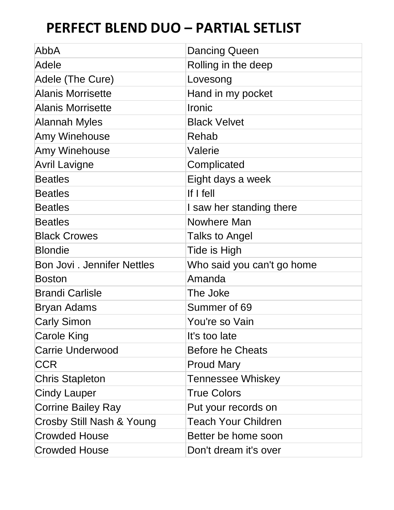| AbbA                              | <b>Dancing Queen</b>       |
|-----------------------------------|----------------------------|
| Adele                             | Rolling in the deep        |
| Adele (The Cure)                  | Lovesong                   |
| <b>Alanis Morrisette</b>          | Hand in my pocket          |
| <b>Alanis Morrisette</b>          | Ironic                     |
| <b>Alannah Myles</b>              | <b>Black Velvet</b>        |
| <b>Amy Winehouse</b>              | Rehab                      |
| <b>Amy Winehouse</b>              | Valerie                    |
| <b>Avril Lavigne</b>              | Complicated                |
| <b>Beatles</b>                    | Eight days a week          |
| <b>Beatles</b>                    | If $I$ fell                |
| <b>Beatles</b>                    | I saw her standing there   |
| <b>Beatles</b>                    | <b>Nowhere Man</b>         |
| <b>Black Crowes</b>               | Talks to Angel             |
| <b>Blondie</b>                    | Tide is High               |
| <b>Bon Jovi. Jennifer Nettles</b> | Who said you can't go home |
| <b>Boston</b>                     | Amanda                     |
| <b>Brandi Carlisle</b>            | The Joke                   |
| Bryan Adams                       | Summer of 69               |
| <b>Carly Simon</b>                | You're so Vain             |
| <b>Carole King</b>                | It's too late              |
| <b>Carrie Underwood</b>           | <b>Before he Cheats</b>    |
| CCR                               | <b>Proud Mary</b>          |
| <b>Chris Stapleton</b>            | <b>Tennessee Whiskey</b>   |
| <b>Cindy Lauper</b>               | <b>True Colors</b>         |
| <b>Corrine Bailey Ray</b>         | Put your records on        |
| Crosby Still Nash & Young         | Teach Your Children        |
| <b>Crowded House</b>              | Better be home soon        |
| <b>Crowded House</b>              | Don't dream it's over      |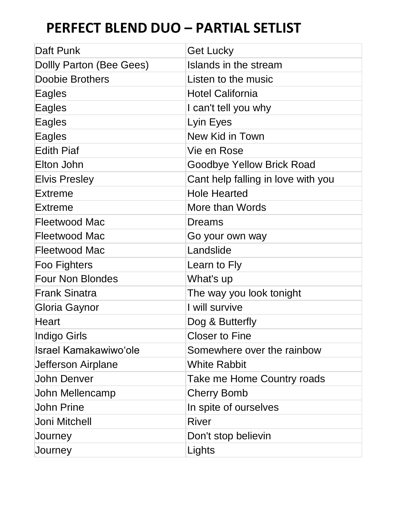| Daft Punk                    | <b>Get Lucky</b>                   |
|------------------------------|------------------------------------|
| Dollly Parton (Bee Gees)     | Islands in the stream              |
| <b>Doobie Brothers</b>       | Listen to the music                |
| Eagles                       | <b>Hotel California</b>            |
| Eagles                       | I can't tell you why               |
| Eagles                       | Lyin Eyes                          |
| Eagles                       | <b>New Kid in Town</b>             |
| <b>Edith Piaf</b>            | Vie en Rose                        |
| Elton John                   | <b>Goodbye Yellow Brick Road</b>   |
| <b>Elvis Presley</b>         | Cant help falling in love with you |
| <b>Extreme</b>               | <b>Hole Hearted</b>                |
| Extreme                      | More than Words                    |
| <b>Fleetwood Mac</b>         | Dreams                             |
| <b>Fleetwood Mac</b>         | Go your own way                    |
| Fleetwood Mac                | Landslide                          |
| Foo Fighters                 | Learn to Fly                       |
| <b>Four Non Blondes</b>      | What's up                          |
| <b>Frank Sinatra</b>         | The way you look tonight           |
| Gloria Gaynor                | I will survive                     |
| Heart                        | Dog & Butterfly                    |
| Indigo Girls                 | <b>Closer to Fine</b>              |
| <b>Israel Kamakawiwo'ole</b> | Somewhere over the rainbow         |
| Jefferson Airplane           | <b>White Rabbit</b>                |
| <b>John Denver</b>           | Take me Home Country roads         |
| John Mellencamp              | <b>Cherry Bomb</b>                 |
| <b>John Prine</b>            | In spite of ourselves              |
| Joni Mitchell                | River                              |
| Journey                      | Don't stop believin                |
| Journey                      | Lights                             |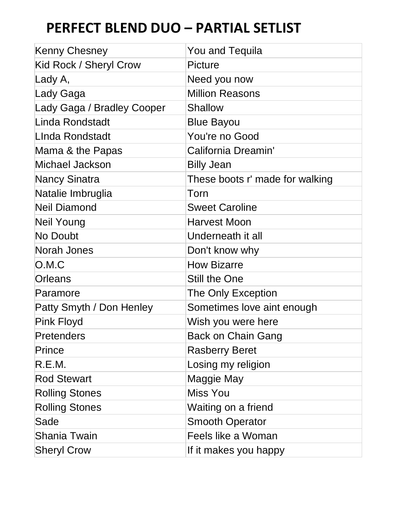| Kenny Chesney              | <b>You and Tequila</b>          |
|----------------------------|---------------------------------|
| Kid Rock / Sheryl Crow     | <b>Picture</b>                  |
| Lady A,                    | Need you now                    |
| Lady Gaga                  | <b>Million Reasons</b>          |
| Lady Gaga / Bradley Cooper | <b>Shallow</b>                  |
| Linda Rondstadt            | <b>Blue Bayou</b>               |
| LInda Rondstadt            | You're no Good                  |
| Mama & the Papas           | California Dreamin'             |
| Michael Jackson            | <b>Billy Jean</b>               |
| <b>Nancy Sinatra</b>       | These boots r' made for walking |
| Natalie Imbruglia          | Torn                            |
| <b>Neil Diamond</b>        | <b>Sweet Caroline</b>           |
| Neil Young                 | Harvest Moon                    |
| No Doubt                   | Underneath it all               |
| Norah Jones                | Don't know why                  |
| O.M.C                      | <b>How Bizarre</b>              |
| Orleans                    | Still the One                   |
| Paramore                   | The Only Exception              |
| Patty Smyth / Don Henley   | Sometimes love aint enough      |
| <b>Pink Floyd</b>          | Wish you were here              |
| Pretenders                 | <b>Back on Chain Gang</b>       |
| Prince                     | <b>Rasberry Beret</b>           |
| R.E.M.                     | Losing my religion              |
| <b>Rod Stewart</b>         | Maggie May                      |
| <b>Rolling Stones</b>      | Miss You                        |
| <b>Rolling Stones</b>      | Waiting on a friend             |
| Sade                       | <b>Smooth Operator</b>          |
| Shania Twain               | Feels like a Woman              |
| <b>Sheryl Crow</b>         | If it makes you happy           |